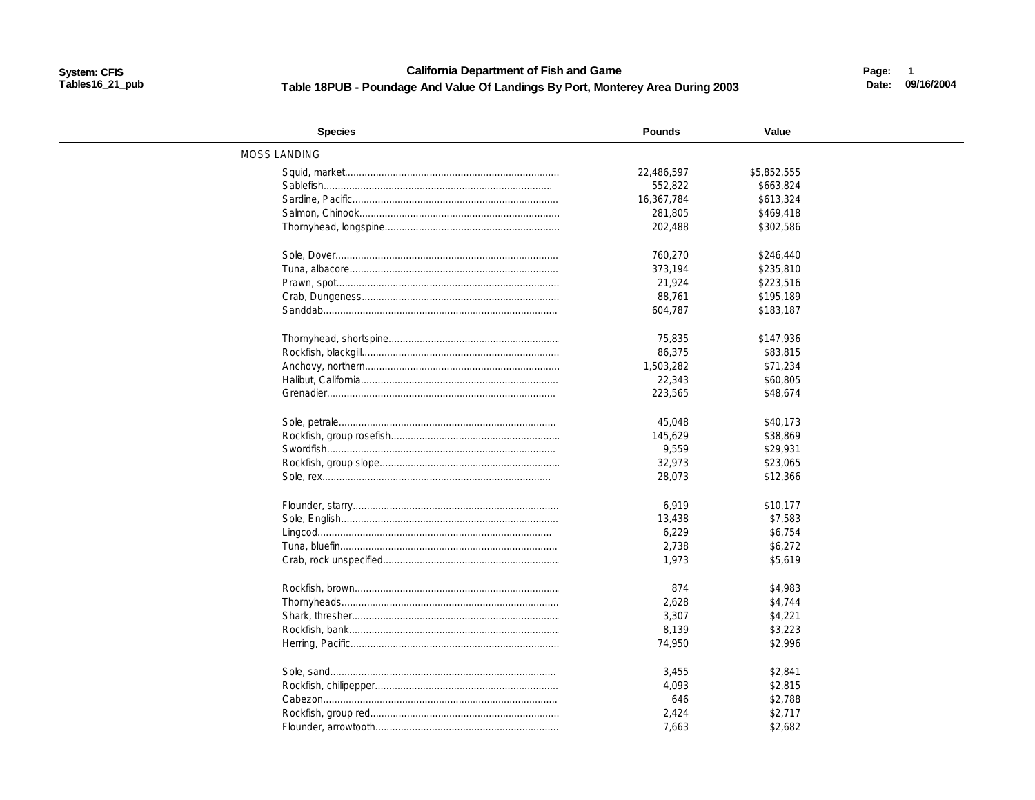### **California Department of Fish and Game** Table 18PUB - Poundage And Value Of Landings By Port, Monterey Area During 2003

Page: 1 Date: 09/16/2004

| <b>Species</b>      | <b>Pounds</b> | Value       |  |
|---------------------|---------------|-------------|--|
| <b>MOSS LANDING</b> |               |             |  |
|                     | 22,486,597    | \$5,852,555 |  |
|                     | 552,822       | \$663,824   |  |
|                     | 16,367,784    | \$613,324   |  |
|                     | 281,805       | \$469,418   |  |
|                     | 202,488       | \$302,586   |  |
|                     |               |             |  |
|                     | 760.270       | \$246,440   |  |
|                     | 373,194       | \$235,810   |  |
|                     | 21,924        | \$223,516   |  |
|                     | 88,761        | \$195,189   |  |
|                     | 604,787       | \$183,187   |  |
|                     |               |             |  |
|                     | 75,835        | \$147.936   |  |
|                     | 86,375        | \$83,815    |  |
|                     | 1,503,282     | \$71,234    |  |
|                     | 22,343        | \$60,805    |  |
|                     | 223,565       | \$48,674    |  |
|                     |               |             |  |
|                     | 45,048        | \$40,173    |  |
|                     | 145,629       | \$38,869    |  |
|                     | 9,559         | \$29,931    |  |
|                     | 32,973        | \$23,065    |  |
|                     | 28,073        | \$12,366    |  |
|                     |               |             |  |
|                     | 6,919         | \$10,177    |  |
|                     | 13,438        | \$7,583     |  |
|                     | 6,229         | \$6,754     |  |
|                     | 2,738         | \$6,272     |  |
|                     | 1,973         | \$5,619     |  |
|                     |               |             |  |
|                     | 874           | \$4,983     |  |
|                     | 2,628         | \$4,744     |  |
|                     | 3,307         | \$4,221     |  |
|                     | 8,139         | \$3,223     |  |
|                     | 74,950        | \$2,996     |  |
|                     |               |             |  |
|                     | 3,455         | \$2,841     |  |
|                     | 4,093         | \$2,815     |  |
|                     | 646           | \$2,788     |  |
|                     | 2,424         | \$2,717     |  |
|                     | 7,663         | \$2,682     |  |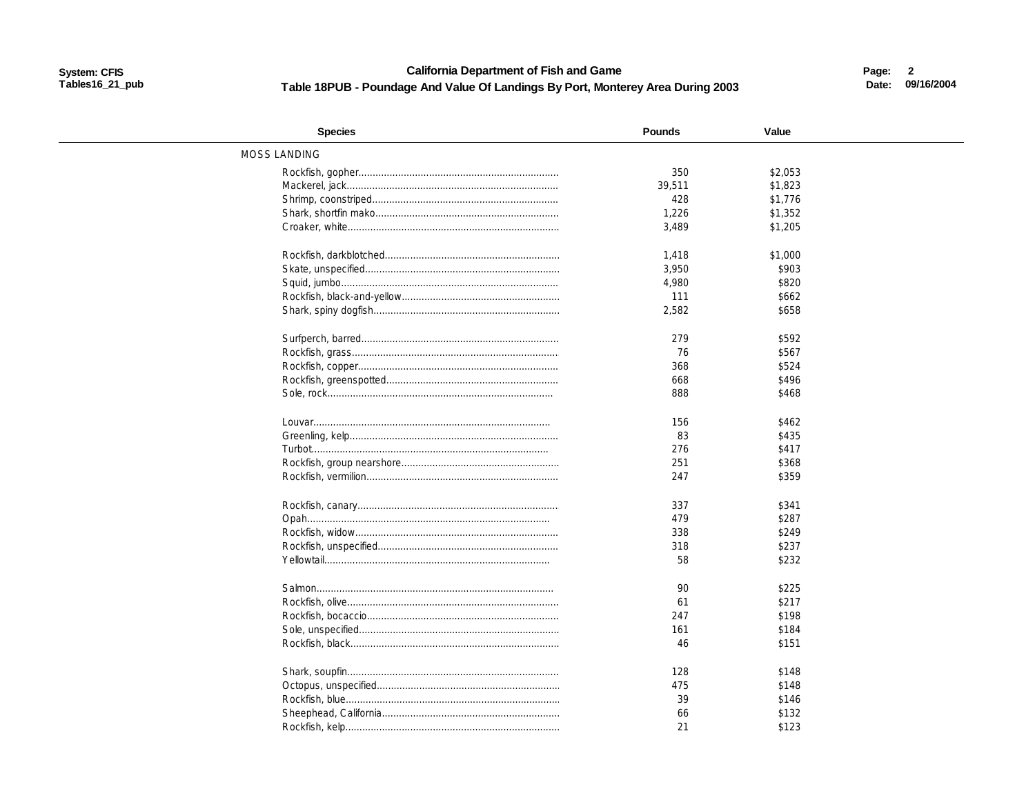#### **California Department of Fish and Game** Table 18PUB - Poundage And Value Of Landings By Port, Monterey Area During 2003

Page: 2 Date: 09/16/2004

| <b>Species</b>      | <b>Pounds</b> | Value   |  |
|---------------------|---------------|---------|--|
| <b>MOSS LANDING</b> |               |         |  |
|                     | 350           | \$2,053 |  |
|                     | 39,511        | \$1,823 |  |
|                     | 428           | \$1,776 |  |
|                     | 1,226         | \$1,352 |  |
|                     | 3,489         | \$1,205 |  |
|                     | 1,418         | \$1,000 |  |
|                     | 3,950         | \$903   |  |
|                     | 4,980         | \$820   |  |
|                     | 111           | \$662   |  |
|                     | 2,582         | \$658   |  |
|                     |               |         |  |
|                     | 279           | \$592   |  |
|                     | 76            | \$567   |  |
|                     | 368           | \$524   |  |
|                     | 668           | \$496   |  |
|                     | 888           | \$468   |  |
|                     |               |         |  |
|                     | 156           | \$462   |  |
|                     | 83            | \$435   |  |
|                     | 276           | \$417   |  |
|                     | 251           | \$368   |  |
|                     | 247           | \$359   |  |
|                     | 337           | \$341   |  |
|                     | 479           | \$287   |  |
|                     | 338           | \$249   |  |
|                     | 318           | \$237   |  |
|                     | 58            | \$232   |  |
|                     |               |         |  |
|                     | 90            | \$225   |  |
|                     | 61            | \$217   |  |
|                     | 247           | \$198   |  |
|                     | 161           | \$184   |  |
|                     | 46            | \$151   |  |
|                     |               |         |  |
|                     | 128           | \$148   |  |
|                     | 475           | \$148   |  |
|                     | 39            | \$146   |  |
|                     | 66            | \$132   |  |
|                     | 21            | \$123   |  |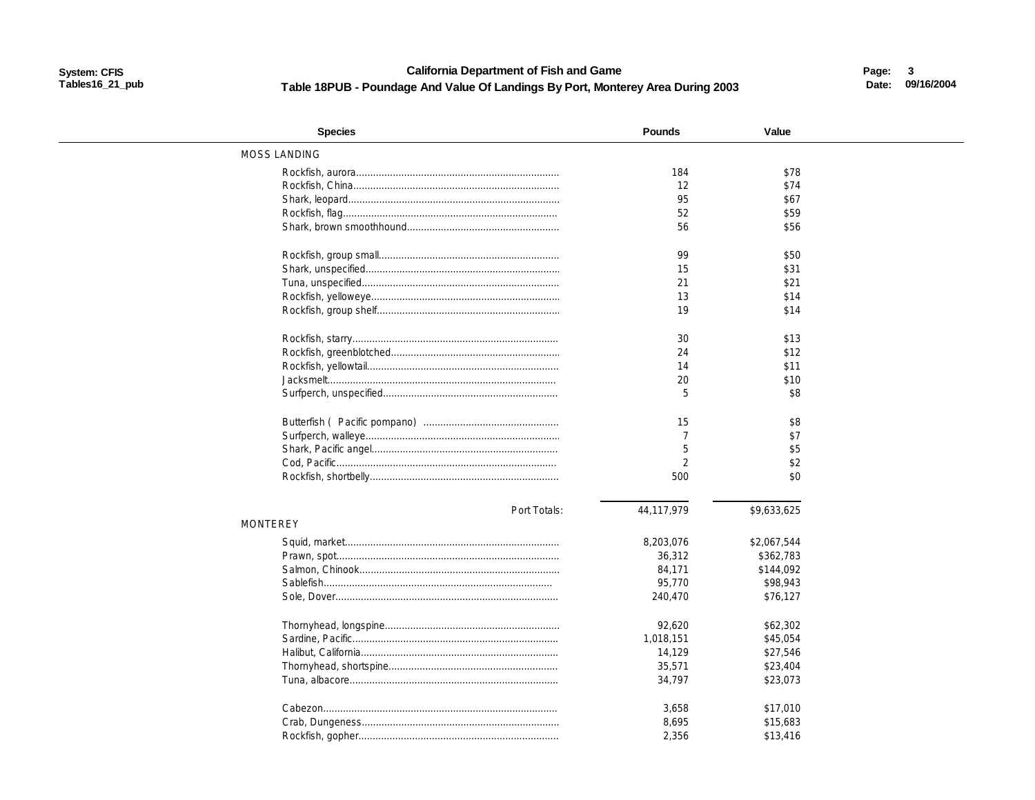#### **California Department of Fish and Game** Table 18PUB - Poundage And Value Of Landings By Port, Monterey Area During 2003

Page: 3 Date: 09/16/2004

| MOSS LANDING<br>184<br>\$78<br>12<br>\$74<br>95<br>\$67<br>52<br>\$59<br>56<br>\$56<br>99<br>\$50<br>15<br>\$31<br>21<br>\$21<br>13<br>\$14<br>19<br>\$14<br>30<br>\$13<br>\$12<br>24<br>\$11<br>14<br>20<br>\$10<br>5<br>\$8<br>15<br>\$8<br>$\overline{7}$<br>\$7<br>5<br>\$5<br>$\overline{2}$<br>\$2<br>500<br>\$0<br>44,117,979<br>\$9,633,625<br>Port Totals:<br><b>MONTEREY</b><br>8,203,076<br>\$2,067,544<br>36,312<br>\$362,783<br>\$144,092<br>84,171<br>95,770<br>\$98,943<br>240,470<br>\$76,127<br>\$62,302<br>92,620<br>\$45,054<br>1,018,151<br>\$27,546<br>14,129<br>35,571<br>\$23,404<br>34,797<br>\$23,073<br>3,658<br>\$17,010<br>8,695<br>\$15,683<br>2,356<br>\$13,416 | <b>Species</b> | <b>Pounds</b> | Value |  |
|-----------------------------------------------------------------------------------------------------------------------------------------------------------------------------------------------------------------------------------------------------------------------------------------------------------------------------------------------------------------------------------------------------------------------------------------------------------------------------------------------------------------------------------------------------------------------------------------------------------------------------------------------------------------------------------------------|----------------|---------------|-------|--|
|                                                                                                                                                                                                                                                                                                                                                                                                                                                                                                                                                                                                                                                                                               |                |               |       |  |
|                                                                                                                                                                                                                                                                                                                                                                                                                                                                                                                                                                                                                                                                                               |                |               |       |  |
|                                                                                                                                                                                                                                                                                                                                                                                                                                                                                                                                                                                                                                                                                               |                |               |       |  |
|                                                                                                                                                                                                                                                                                                                                                                                                                                                                                                                                                                                                                                                                                               |                |               |       |  |
|                                                                                                                                                                                                                                                                                                                                                                                                                                                                                                                                                                                                                                                                                               |                |               |       |  |
|                                                                                                                                                                                                                                                                                                                                                                                                                                                                                                                                                                                                                                                                                               |                |               |       |  |
|                                                                                                                                                                                                                                                                                                                                                                                                                                                                                                                                                                                                                                                                                               |                |               |       |  |
|                                                                                                                                                                                                                                                                                                                                                                                                                                                                                                                                                                                                                                                                                               |                |               |       |  |
|                                                                                                                                                                                                                                                                                                                                                                                                                                                                                                                                                                                                                                                                                               |                |               |       |  |
|                                                                                                                                                                                                                                                                                                                                                                                                                                                                                                                                                                                                                                                                                               |                |               |       |  |
|                                                                                                                                                                                                                                                                                                                                                                                                                                                                                                                                                                                                                                                                                               |                |               |       |  |
|                                                                                                                                                                                                                                                                                                                                                                                                                                                                                                                                                                                                                                                                                               |                |               |       |  |
|                                                                                                                                                                                                                                                                                                                                                                                                                                                                                                                                                                                                                                                                                               |                |               |       |  |
|                                                                                                                                                                                                                                                                                                                                                                                                                                                                                                                                                                                                                                                                                               |                |               |       |  |
|                                                                                                                                                                                                                                                                                                                                                                                                                                                                                                                                                                                                                                                                                               |                |               |       |  |
|                                                                                                                                                                                                                                                                                                                                                                                                                                                                                                                                                                                                                                                                                               |                |               |       |  |
|                                                                                                                                                                                                                                                                                                                                                                                                                                                                                                                                                                                                                                                                                               |                |               |       |  |
|                                                                                                                                                                                                                                                                                                                                                                                                                                                                                                                                                                                                                                                                                               |                |               |       |  |
|                                                                                                                                                                                                                                                                                                                                                                                                                                                                                                                                                                                                                                                                                               |                |               |       |  |
|                                                                                                                                                                                                                                                                                                                                                                                                                                                                                                                                                                                                                                                                                               |                |               |       |  |
|                                                                                                                                                                                                                                                                                                                                                                                                                                                                                                                                                                                                                                                                                               |                |               |       |  |
|                                                                                                                                                                                                                                                                                                                                                                                                                                                                                                                                                                                                                                                                                               |                |               |       |  |
|                                                                                                                                                                                                                                                                                                                                                                                                                                                                                                                                                                                                                                                                                               |                |               |       |  |
|                                                                                                                                                                                                                                                                                                                                                                                                                                                                                                                                                                                                                                                                                               |                |               |       |  |
|                                                                                                                                                                                                                                                                                                                                                                                                                                                                                                                                                                                                                                                                                               |                |               |       |  |
|                                                                                                                                                                                                                                                                                                                                                                                                                                                                                                                                                                                                                                                                                               |                |               |       |  |
|                                                                                                                                                                                                                                                                                                                                                                                                                                                                                                                                                                                                                                                                                               |                |               |       |  |
|                                                                                                                                                                                                                                                                                                                                                                                                                                                                                                                                                                                                                                                                                               |                |               |       |  |
|                                                                                                                                                                                                                                                                                                                                                                                                                                                                                                                                                                                                                                                                                               |                |               |       |  |
|                                                                                                                                                                                                                                                                                                                                                                                                                                                                                                                                                                                                                                                                                               |                |               |       |  |
|                                                                                                                                                                                                                                                                                                                                                                                                                                                                                                                                                                                                                                                                                               |                |               |       |  |
|                                                                                                                                                                                                                                                                                                                                                                                                                                                                                                                                                                                                                                                                                               |                |               |       |  |
|                                                                                                                                                                                                                                                                                                                                                                                                                                                                                                                                                                                                                                                                                               |                |               |       |  |
|                                                                                                                                                                                                                                                                                                                                                                                                                                                                                                                                                                                                                                                                                               |                |               |       |  |
|                                                                                                                                                                                                                                                                                                                                                                                                                                                                                                                                                                                                                                                                                               |                |               |       |  |
|                                                                                                                                                                                                                                                                                                                                                                                                                                                                                                                                                                                                                                                                                               |                |               |       |  |
|                                                                                                                                                                                                                                                                                                                                                                                                                                                                                                                                                                                                                                                                                               |                |               |       |  |
|                                                                                                                                                                                                                                                                                                                                                                                                                                                                                                                                                                                                                                                                                               |                |               |       |  |
|                                                                                                                                                                                                                                                                                                                                                                                                                                                                                                                                                                                                                                                                                               |                |               |       |  |
|                                                                                                                                                                                                                                                                                                                                                                                                                                                                                                                                                                                                                                                                                               |                |               |       |  |
|                                                                                                                                                                                                                                                                                                                                                                                                                                                                                                                                                                                                                                                                                               |                |               |       |  |
|                                                                                                                                                                                                                                                                                                                                                                                                                                                                                                                                                                                                                                                                                               |                |               |       |  |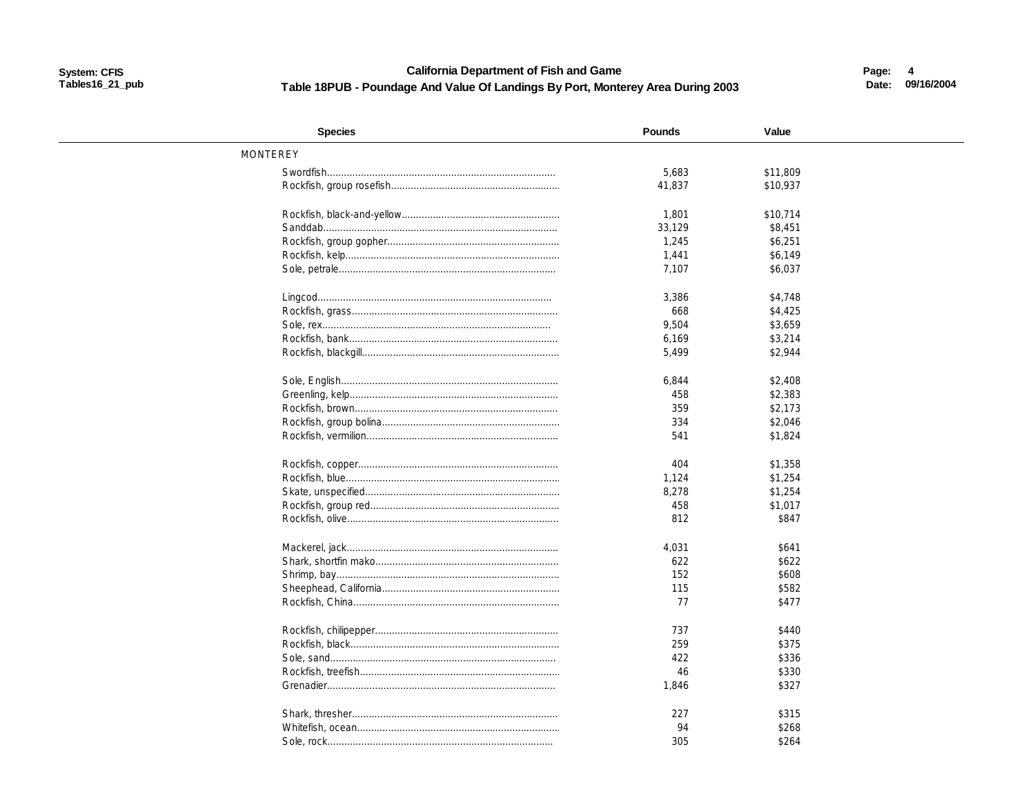### **California Department of Fish and Game** Table 18PUB - Poundage And Value Of Landings By Port, Monterey Area During 2003

Page: 4 Date: 09/16/2004

| <b>Species</b>  | <b>Pounds</b> | Value    |  |
|-----------------|---------------|----------|--|
| <b>MONTEREY</b> |               |          |  |
|                 | 5,683         | \$11,809 |  |
|                 | 41,837        | \$10,937 |  |
|                 | 1,801         | \$10,714 |  |
|                 | 33,129        | \$8,451  |  |
|                 | 1,245         | \$6,251  |  |
|                 | 1,441         | \$6,149  |  |
|                 | 7,107         | \$6,037  |  |
|                 |               |          |  |
|                 | 3,386         | \$4,748  |  |
|                 | 668           | \$4,425  |  |
|                 | 9,504         | \$3,659  |  |
|                 | 6,169         | \$3,214  |  |
|                 | 5,499         | \$2,944  |  |
|                 | 6,844         | \$2,408  |  |
|                 | 458           | \$2,383  |  |
|                 | 359           | \$2,173  |  |
|                 | 334           | \$2,046  |  |
|                 | 541           | \$1,824  |  |
|                 |               |          |  |
|                 | 404           | \$1,358  |  |
|                 | 1,124         | \$1,254  |  |
|                 | 8,278         | \$1,254  |  |
|                 | 458           | \$1,017  |  |
|                 | 812           | \$847    |  |
|                 | 4,031         | \$641    |  |
|                 | 622           | \$622    |  |
|                 | 152           | \$608    |  |
|                 | 115           | \$582    |  |
|                 | 77            | \$477    |  |
|                 | 737           | \$440    |  |
|                 | 259           | \$375    |  |
|                 | 422           | \$336    |  |
|                 | 46            | \$330    |  |
|                 | 1,846         | \$327    |  |
|                 |               |          |  |
|                 | 227           | \$315    |  |
|                 | 94            | \$268    |  |
|                 | 305           | \$264    |  |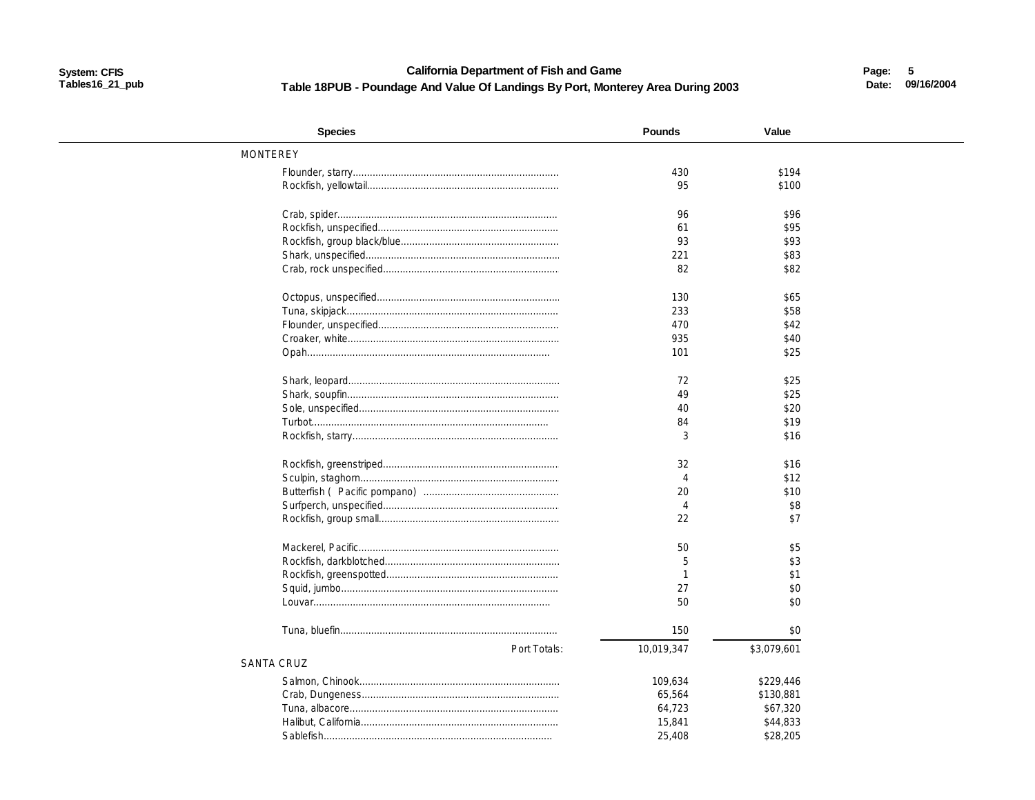### **California Department of Fish and Game** Table 18PUB - Poundage And Value Of Landings By Port, Monterey Area During 2003

Page: 5 Date: 09/16/2004

| <b>Species</b>             | <b>Pounds</b>               | Value       |  |
|----------------------------|-----------------------------|-------------|--|
| <b>MONTEREY</b>            |                             |             |  |
|                            | 430                         | \$194       |  |
|                            | 95                          | \$100       |  |
|                            | 96                          | \$96        |  |
|                            | 61                          | \$95        |  |
|                            | 93                          | \$93        |  |
|                            | 221                         | \$83        |  |
|                            | 82                          | \$82        |  |
|                            | 130                         | \$65        |  |
|                            | 233                         | \$58        |  |
|                            | 470                         | \$42        |  |
|                            | 935                         | \$40        |  |
|                            | 101                         | \$25        |  |
|                            | 72                          | \$25        |  |
|                            | 49                          | \$25        |  |
|                            | 40                          | \$20        |  |
|                            | 84                          | \$19        |  |
|                            | 3                           | \$16        |  |
|                            | 32                          | \$16        |  |
|                            | $\boldsymbol{\vartriangle}$ | \$12        |  |
|                            | 20                          | \$10        |  |
|                            | $\overline{A}$              | \$8         |  |
|                            | 22                          | \$7         |  |
|                            | 50                          | \$5         |  |
|                            | 5                           | \$3         |  |
|                            | $\mathbf{1}$                | \$1         |  |
|                            | 27                          | \$0         |  |
|                            | 50                          | \$0         |  |
|                            |                             |             |  |
|                            | 150                         | \$0         |  |
| Port Totals:<br>SANTA CRUZ | 10,019,347                  | \$3,079,601 |  |
|                            |                             |             |  |
|                            | 109,634                     | \$229,446   |  |
|                            | 65,564                      | \$130,881   |  |
|                            | 64,723                      | \$67,320    |  |
|                            | 15,841                      | \$44,833    |  |
|                            | 25,408                      | \$28,205    |  |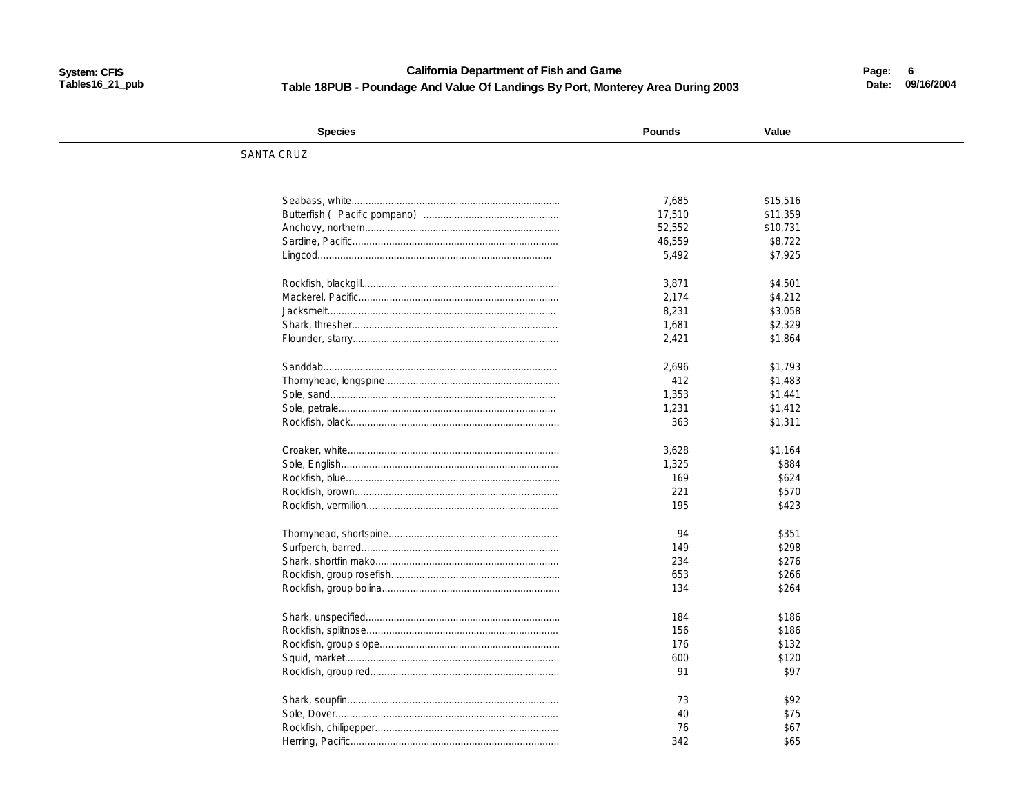### **California Department of Fish and Game** Table 18PUB - Poundage And Value Of Landings By Port, Monterey Area During 2003

Page: 6 Date: 09/16/2004

| <b>Species</b>    | <b>Pounds</b> | Value    |  |
|-------------------|---------------|----------|--|
| <b>SANTA CRUZ</b> |               |          |  |
|                   |               |          |  |
|                   |               |          |  |
|                   | 7,685         | \$15,516 |  |
|                   | 17,510        | \$11,359 |  |
|                   | 52,552        | \$10,731 |  |
|                   | 46,559        | \$8,722  |  |
|                   | 5,492         | \$7,925  |  |
|                   |               |          |  |
|                   | 3,871         | \$4,501  |  |
|                   | 2,174         | \$4,212  |  |
|                   | 8,231         | \$3,058  |  |
|                   | 1,681         | \$2,329  |  |
|                   | 2,421         | \$1.864  |  |
|                   | 2,696         | \$1,793  |  |
|                   | 412           | \$1,483  |  |
|                   | 1,353         | \$1,441  |  |
|                   | 1,231         | \$1,412  |  |
|                   | 363           | \$1,311  |  |
|                   |               |          |  |
|                   | 3,628         | \$1,164  |  |
|                   | 1,325         | \$884    |  |
|                   | 169           | \$624    |  |
|                   | 221           | \$570    |  |
|                   | 195           | \$423    |  |
|                   | 94            | \$351    |  |
|                   | 149           | \$298    |  |
|                   | 234           | \$276    |  |
|                   | 653           | \$266    |  |
|                   | 134           | \$264    |  |
|                   |               |          |  |
|                   | 184           | \$186    |  |
|                   | 156           | \$186    |  |
|                   | 176           | \$132    |  |
|                   | 600           | \$120    |  |
|                   | 91            | \$97     |  |
|                   |               |          |  |
|                   | 73            | \$92     |  |
|                   | 40            | \$75     |  |
|                   | 76            | \$67     |  |
|                   | 342           | \$65     |  |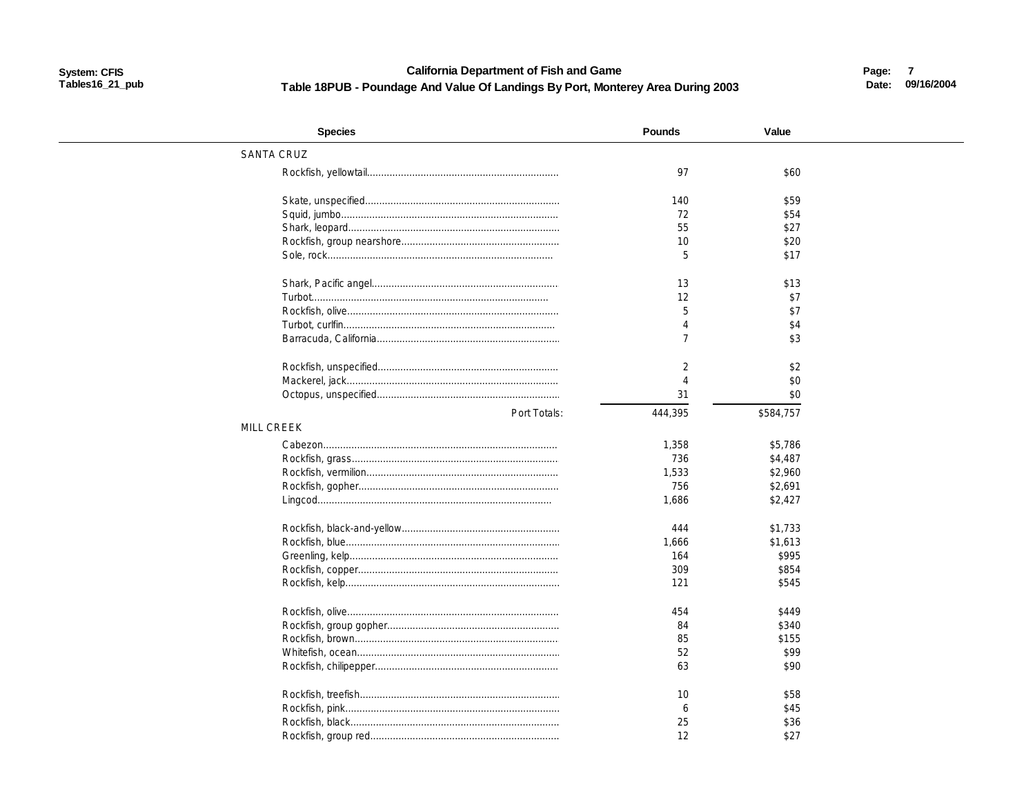#### **California Department of Fish and Game** Table 18PUB - Poundage And Value Of Landings By Port, Monterey Area During 2003

Page: 7 Date: 09/16/2004

| <b>Species</b>    | <b>Pounds</b>  | Value     |  |
|-------------------|----------------|-----------|--|
| <b>SANTA CRUZ</b> |                |           |  |
|                   | 97             | \$60      |  |
|                   | 140            | \$59      |  |
|                   | 72             | \$54      |  |
|                   | 55             | \$27      |  |
|                   | 10             | \$20      |  |
|                   | 5              | \$17      |  |
|                   | 13             | \$13      |  |
|                   | 12             | \$7       |  |
|                   | 5              | \$7       |  |
|                   | $\overline{4}$ | \$4       |  |
|                   | $\overline{7}$ | \$3       |  |
|                   | 2              | \$2       |  |
|                   | $\Delta$       | \$0       |  |
|                   | 31             | \$0       |  |
| Port Totals:      | 444,395        | \$584,757 |  |
| <b>MILL CREEK</b> |                |           |  |
|                   | 1,358          | \$5,786   |  |
|                   | 736            | \$4,487   |  |
|                   | 1,533          | \$2,960   |  |
|                   | 756            | \$2,691   |  |
|                   | 1,686          | \$2,427   |  |
|                   | 444            | \$1,733   |  |
|                   | 1,666          | \$1,613   |  |
|                   | 164            | \$995     |  |
|                   | 309            | \$854     |  |
|                   | 121            | \$545     |  |
|                   | 454            | \$449     |  |
|                   | 84             | \$340     |  |
|                   | 85             | \$155     |  |
|                   | 52             | \$99      |  |
|                   | 63             | \$90      |  |
|                   | 10             | \$58      |  |
|                   | 6              | \$45      |  |
|                   | 25             | \$36      |  |
|                   | 12             | \$27      |  |
|                   |                |           |  |